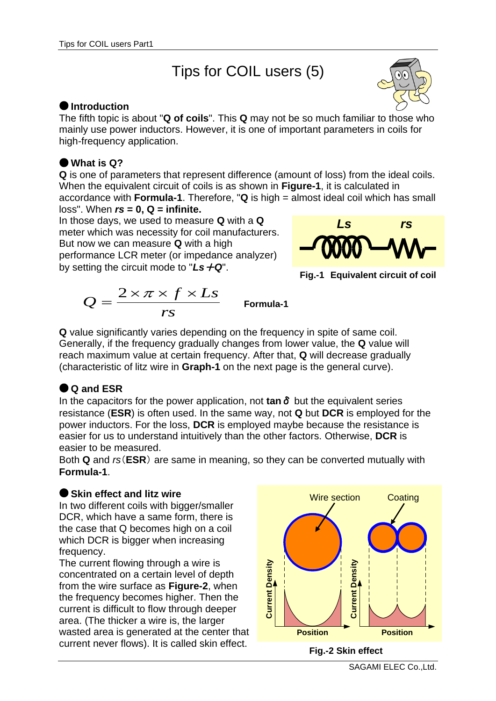# Tips for COIL users (5)



The fifth topic is about "**Q of coils**". This **Q** may not be so much familiar to those who mainly use power inductors. However, it is one of important parameters in coils for high-frequency application.

#### **What is Q?**

**Q** is one of parameters that represent difference (amount of loss) from the ideal coils. When the equivalent circuit of coils is as shown in **Figure-1**, it is calculated in accordance with **Formula-1**. Therefore, "**Q** is high = almost ideal coil which has small

loss". When *rs* **= 0, Q = infinite.** In those days, we used to measure **Q** with a **Q** meter which was necessity for coil manufacturers. But now we can measure **Q** with a high performance LCR meter (or impedance analyzer) by setting the circuit mode to "*Ls*+*Q*".





$$
Q = \frac{2 \times \pi \times f \times Ls}{rs}
$$
 Formula-1

**Q** value significantly varies depending on the frequency in spite of same coil. Generally, if the frequency gradually changes from lower value, the **Q** value will reach maximum value at certain frequency. After that, **Q** will decrease gradually (characteristic of litz wire in **Graph-1** on the next page is the general curve).

## **Q and ESR**

In the capacitors for the power application, not **tan**δ but the equivalent series resistance (**ESR**) is often used. In the same way, not **Q** but **DCR** is employed for the power inductors. For the loss, **DCR** is employed maybe because the resistance is easier for us to understand intuitively than the other factors. Otherwise, **DCR** is easier to be measured.

Both **Q** and *rs*(**ESR**) are same in meaning, so they can be converted mutually with **Formula-1**.

#### **Skin effect and litz wire**

In two different coils with bigger/smaller DCR, which have a same form, there is the case that Q becomes high on a coil which DCR is bigger when increasing frequency.

The current flowing through a wire is concentrated on a certain level of depth from the wire surface as **Figure-2**, when the frequency becomes higher. Then the current is difficult to flow through deeper area. (The thicker a wire is, the larger wasted area is generated at the center that

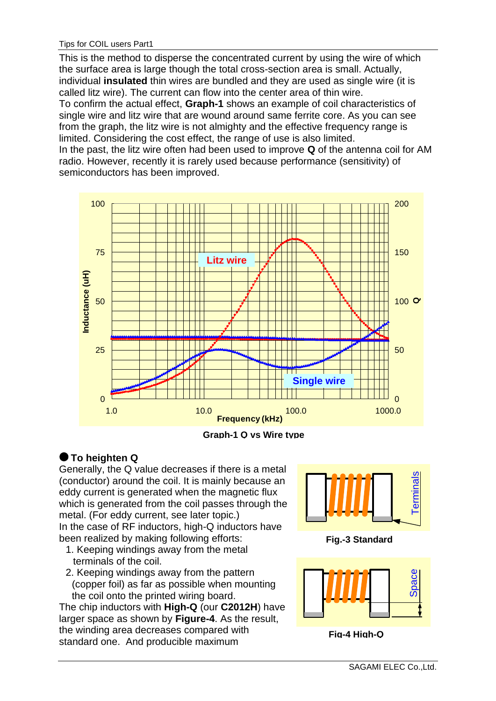This is the method to disperse the concentrated current by using the wire of which the surface area is large though the total cross-section area is small. Actually, individual **insulated** thin wires are bundled and they are used as single wire (it is called litz wire). The current can flow into the center area of thin wire. To confirm the actual effect, **Graph-1** shows an example of coil characteristics of single wire and litz wire that are wound around same ferrite core. As you can see from the graph, the litz wire is not almighty and the effective frequency range is limited. Considering the cost effect, the range of use is also limited. In the past, the litz wire often had been used to improve **Q** of the antenna coil for AM radio. However, recently it is rarely used because performance (sensitivity) of semiconductors has been improved.



**Graph-1 Q vs Wire type**

## **To heighten Q**

Generally, the Q value decreases if there is a metal (conductor) around the coil. It is mainly because an eddy current is generated when the magnetic flux which is generated from the coil passes through the metal. (For eddy current, see later topic.) In the case of RF inductors, high-Q inductors have been realized by making following efforts:

- 1. Keeping windings away from the metal terminals of the coil.
- 2. Keeping windings away from the pattern (copper foil) as far as possible when mounting the coil onto the printed wiring board.

The chip inductors with **High-Q** (our **C2012H**) have larger space as shown by **Figure-4**. As the result, the winding area decreases compared with standard one. And producible maximum



**Fig.-3 Standard**



**Fig-4 High-Q**